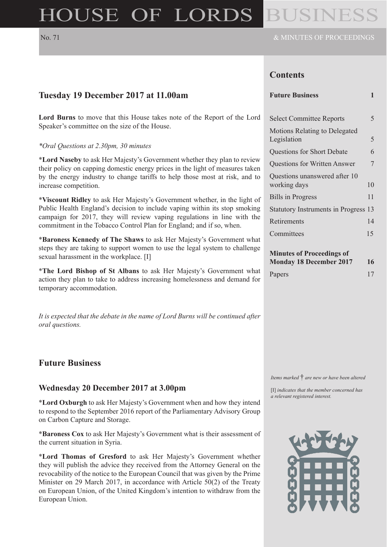# HOUSE OF LORDS

### **Contents**

**Lord Burns** to move that this House takes note of the Report of the Lord Speaker's committee on the size of the House.

#### *\*Oral Questions at 2.30pm, 30 minutes*

\***Lord Naseby** to ask Her Majesty's Government whether they plan to review their policy on capping domestic energy prices in the light of measures taken by the energy industry to change tariffs to help those most at risk, and to increase competition.

\***Viscount Ridley** to ask Her Majesty's Government whether, in the light of Public Health England's decision to include vaping within its stop smoking campaign for 2017, they will review vaping regulations in line with the commitment in the Tobacco Control Plan for England; and if so, when.

\***Baroness Kennedy of The Shaws** to ask Her Majesty's Government what steps they are taking to support women to use the legal system to challenge sexual harassment in the workplace. [I]

\***The Lord Bishop of St Albans** to ask Her Majesty's Government what action they plan to take to address increasing homelessness and demand for temporary accommodation.

*It is expected that the debate in the name of Lord Burns will be continued after oral questions.*

#### **Future Business**

#### **Wednesday 20 December 2017 at 3.00pm**

\***Lord Oxburgh** to ask Her Majesty's Government when and how they intend to respond to the September 2016 report of the Parliamentary Advisory Group on Carbon Capture and Storage.

\***Baroness Cox** to ask Her Majesty's Government what is their assessment of the current situation in Syria.

\***Lord Thomas of Gresford** to ask Her Majesty's Government whether they will publish the advice they received from the Attorney General on the revocability of the notice to the European Council that was given by the Prime Minister on 29 March 2017, in accordance with Article 50(2) of the Treaty on European Union, of the United Kingdom's intention to withdraw from the European Union.

| <b>Future Business</b>                              | 1  |
|-----------------------------------------------------|----|
| <b>Select Committee Reports</b>                     | 5  |
| <b>Motions Relating to Delegated</b><br>Legislation | 5  |
| <b>Questions for Short Debate</b>                   | 6  |
| <b>Questions for Written Answer</b>                 | 7  |
| Questions unanswered after 10<br>working days       | 10 |
| <b>Bills in Progress</b>                            | 11 |
| <b>Statutory Instruments in Progress</b>            | 13 |
| Retirements                                         | 14 |
| Committees                                          | 15 |
| <b>Minutes of Proceedings of</b>                    |    |

**Monday 18 December 2017 16** Papers 17

*Items marked* † *are new or have been altered*

[I] *indicates that the member concerned has a relevant registered interest.*

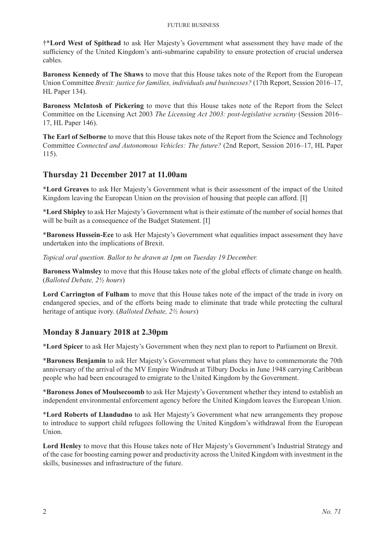#### Future Business

†\***Lord West of Spithead** to ask Her Majesty's Government what assessment they have made of the sufficiency of the United Kingdom's anti-submarine capability to ensure protection of crucial undersea cables.

**Baroness Kennedy of The Shaws** to move that this House takes note of the Report from the European Union Committee *Brexit: justice for families, individuals and businesses?* (17th Report, Session 2016–17, HL Paper 134).

**Baroness McIntosh of Pickering** to move that this House takes note of the Report from the Select Committee on the Licensing Act 2003 *The Licensing Act 2003: post-legislative scrutiny* (Session 2016– 17, HL Paper 146).

**The Earl of Selborne** to move that this House takes note of the Report from the Science and Technology Committee *Connected and Autonomous Vehicles: The future?* (2nd Report, Session 2016–17, HL Paper 115).

### **Thursday 21 December 2017 at 11.00am**

\***Lord Greaves** to ask Her Majesty's Government what is their assessment of the impact of the United Kingdom leaving the European Union on the provision of housing that people can afford. [I]

\***Lord Shipley** to ask Her Majesty's Government what is their estimate of the number of social homes that will be built as a consequence of the Budget Statement. [I]

\***Baroness Hussein-Ece** to ask Her Majesty's Government what equalities impact assessment they have undertaken into the implications of Brexit.

*Topical oral question. Ballot to be drawn at 1pm on Tuesday 19 December.*

**Baroness Walmsley** to move that this House takes note of the global effects of climate change on health. (*Balloted Debate, 2½ hours*)

**Lord Carrington of Fulham** to move that this House takes note of the impact of the trade in ivory on endangered species, and of the efforts being made to eliminate that trade while protecting the cultural heritage of antique ivory. (*Balloted Debate, 2½ hours*)

# **Monday 8 January 2018 at 2.30pm**

\***Lord Spicer** to ask Her Majesty's Government when they next plan to report to Parliament on Brexit.

\***Baroness Benjamin** to ask Her Majesty's Government what plans they have to commemorate the 70th anniversary of the arrival of the MV Empire Windrush at Tilbury Docks in June 1948 carrying Caribbean people who had been encouraged to emigrate to the United Kingdom by the Government.

\***Baroness Jones of Moulsecoomb** to ask Her Majesty's Government whether they intend to establish an independent environmental enforcement agency before the United Kingdom leaves the European Union.

\***Lord Roberts of Llandudno** to ask Her Majesty's Government what new arrangements they propose to introduce to support child refugees following the United Kingdom's withdrawal from the European Union.

**Lord Henley** to move that this House takes note of Her Majesty's Government's Industrial Strategy and of the case for boosting earning power and productivity across the United Kingdom with investment in the skills, businesses and infrastructure of the future.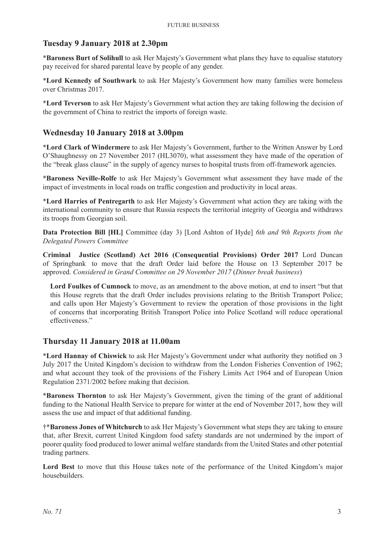#### **Tuesday 9 January 2018 at 2.30pm**

\***Baroness Burt of Solihull** to ask Her Majesty's Government what plans they have to equalise statutory pay received for shared parental leave by people of any gender.

\***Lord Kennedy of Southwark** to ask Her Majesty's Government how many families were homeless over Christmas 2017.

\***Lord Teverson** to ask Her Majesty's Government what action they are taking following the decision of the government of China to restrict the imports of foreign waste.

#### **Wednesday 10 January 2018 at 3.00pm**

\***Lord Clark of Windermere** to ask Her Majesty's Government, further to the Written Answer by Lord O'Shaughnessy on 27 November 2017 (HL3070), what assessment they have made of the operation of the "break glass clause" in the supply of agency nurses to hospital trusts from off-framework agencies.

\***Baroness Neville-Rolfe** to ask Her Majesty's Government what assessment they have made of the impact of investments in local roads on traffic congestion and productivity in local areas.

\***Lord Harries of Pentregarth** to ask Her Majesty's Government what action they are taking with the international community to ensure that Russia respects the territorial integrity of Georgia and withdraws its troops from Georgian soil.

**Data Protection Bill [HL]** Committee (day 3) [Lord Ashton of Hyde] *6th and 9th Reports from the Delegated Powers Committee*

**Criminal Justice (Scotland) Act 2016 (Consequential Provisions) Order 2017** Lord Duncan of Springbank to move that the draft Order laid before the House on 13 September 2017 be approved. *Considered in Grand Committee on 29 November 2017* (*Dinner break business*)

**Lord Foulkes of Cumnock** to move, as an amendment to the above motion, at end to insert "but that this House regrets that the draft Order includes provisions relating to the British Transport Police; and calls upon Her Majesty's Government to review the operation of those provisions in the light of concerns that incorporating British Transport Police into Police Scotland will reduce operational effectiveness."

#### **Thursday 11 January 2018 at 11.00am**

\***Lord Hannay of Chiswick** to ask Her Majesty's Government under what authority they notified on 3 July 2017 the United Kingdom's decision to withdraw from the London Fisheries Convention of 1962; and what account they took of the provisions of the Fishery Limits Act 1964 and of European Union Regulation 2371/2002 before making that decision.

\***Baroness Thornton** to ask Her Majesty's Government, given the timing of the grant of additional funding to the National Health Service to prepare for winter at the end of November 2017, how they will assess the use and impact of that additional funding.

†\***Baroness Jones of Whitchurch** to ask Her Majesty's Government what steps they are taking to ensure that, after Brexit, current United Kingdom food safety standards are not undermined by the import of poorer quality food produced to lower animal welfare standards from the United States and other potential trading partners.

**Lord Best** to move that this House takes note of the performance of the United Kingdom's major housebuilders.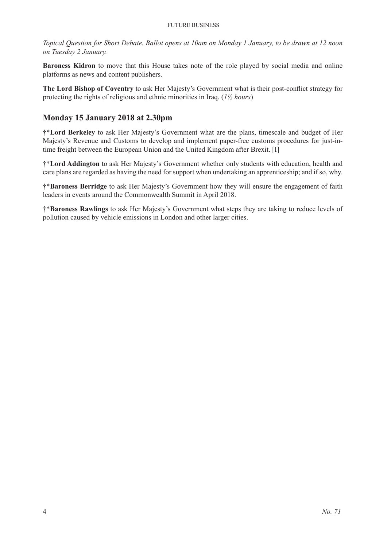*Topical Question for Short Debate. Ballot opens at 10am on Monday 1 January, to be drawn at 12 noon on Tuesday 2 January.*

**Baroness Kidron** to move that this House takes note of the role played by social media and online platforms as news and content publishers.

**The Lord Bishop of Coventry** to ask Her Majesty's Government what is their post-conflict strategy for protecting the rights of religious and ethnic minorities in Iraq. (*1½ hours*)

# **Monday 15 January 2018 at 2.30pm**

†\***Lord Berkeley** to ask Her Majesty's Government what are the plans, timescale and budget of Her Majesty's Revenue and Customs to develop and implement paper-free customs procedures for just-intime freight between the European Union and the United Kingdom after Brexit. [I]

†\***Lord Addington** to ask Her Majesty's Government whether only students with education, health and care plans are regarded as having the need for support when undertaking an apprenticeship; and if so, why.

†\***Baroness Berridge** to ask Her Majesty's Government how they will ensure the engagement of faith leaders in events around the Commonwealth Summit in April 2018.

†\***Baroness Rawlings** to ask Her Majesty's Government what steps they are taking to reduce levels of pollution caused by vehicle emissions in London and other larger cities.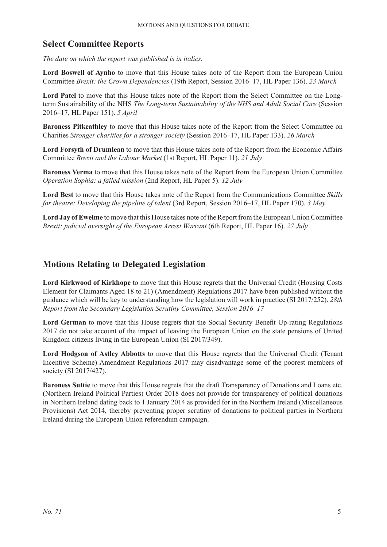# **Select Committee Reports**

*The date on which the report was published is in italics.*

**Lord Boswell of Aynho** to move that this House takes note of the Report from the European Union Committee *Brexit: the Crown Dependencies* (19th Report, Session 2016–17, HL Paper 136). *23 March*

**Lord Patel** to move that this House takes note of the Report from the Select Committee on the Longterm Sustainability of the NHS *The Long-term Sustainability of the NHS and Adult Social Care* (Session 2016–17, HL Paper 151). *5 April*

**Baroness Pitkeathley** to move that this House takes note of the Report from the Select Committee on Charities *Stronger charities for a stronger society* (Session 2016–17, HL Paper 133). *26 March*

**Lord Forsyth of Drumlean** to move that this House takes note of the Report from the Economic Affairs Committee *Brexit and the Labour Market* (1st Report, HL Paper 11). *21 July*

**Baroness Verma** to move that this House takes note of the Report from the European Union Committee *Operation Sophia: a failed mission* (2nd Report, HL Paper 5). *12 July*

**Lord Best** to move that this House takes note of the Report from the Communications Committee *Skills for theatre: Developing the pipeline of talent* (3rd Report, Session 2016–17, HL Paper 170). *3 May*

**Lord Jay of Ewelme** to move that this House takes note of the Report from the European Union Committee *Brexit: judicial oversight of the European Arrest Warrant* (6th Report, HL Paper 16). *27 July*

# **Motions Relating to Delegated Legislation**

**Lord Kirkwood of Kirkhope** to move that this House regrets that the Universal Credit (Housing Costs Element for Claimants Aged 18 to 21) (Amendment) Regulations 2017 have been published without the guidance which will be key to understanding how the legislation will work in practice (SI 2017/252). *28th Report from the Secondary Legislation Scrutiny Committee, Session 2016–17*

Lord German to move that this House regrets that the Social Security Benefit Up-rating Regulations 2017 do not take account of the impact of leaving the European Union on the state pensions of United Kingdom citizens living in the European Union (SI 2017/349).

Lord Hodgson of Astley Abbotts to move that this House regrets that the Universal Credit (Tenant Incentive Scheme) Amendment Regulations 2017 may disadvantage some of the poorest members of society (SI 2017/427).

**Baroness Suttie** to move that this House regrets that the draft Transparency of Donations and Loans etc. (Northern Ireland Political Parties) Order 2018 does not provide for transparency of political donations in Northern Ireland dating back to 1 January 2014 as provided for in the Northern Ireland (Miscellaneous Provisions) Act 2014, thereby preventing proper scrutiny of donations to political parties in Northern Ireland during the European Union referendum campaign.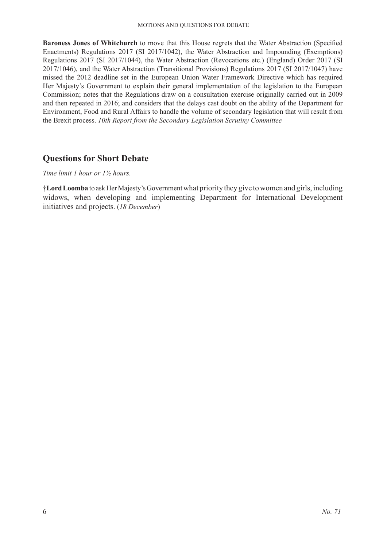**Baroness Jones of Whitchurch** to move that this House regrets that the Water Abstraction (Specified Enactments) Regulations 2017 (SI 2017/1042), the Water Abstraction and Impounding (Exemptions) Regulations 2017 (SI 2017/1044), the Water Abstraction (Revocations etc.) (England) Order 2017 (SI 2017/1046), and the Water Abstraction (Transitional Provisions) Regulations 2017 (SI 2017/1047) have missed the 2012 deadline set in the European Union Water Framework Directive which has required Her Majesty's Government to explain their general implementation of the legislation to the European Commission; notes that the Regulations draw on a consultation exercise originally carried out in 2009 and then repeated in 2016; and considers that the delays cast doubt on the ability of the Department for Environment, Food and Rural Affairs to handle the volume of secondary legislation that will result from the Brexit process. *10th Report from the Secondary Legislation Scrutiny Committee*

# **Questions for Short Debate**

#### *Time limit 1 hour or 1½ hours.*

†**Lord Loomba** to ask Her Majesty's Government what priority they give to women and girls,including widows, when developing and implementing Department for International Development initiatives and projects. (*18 December*)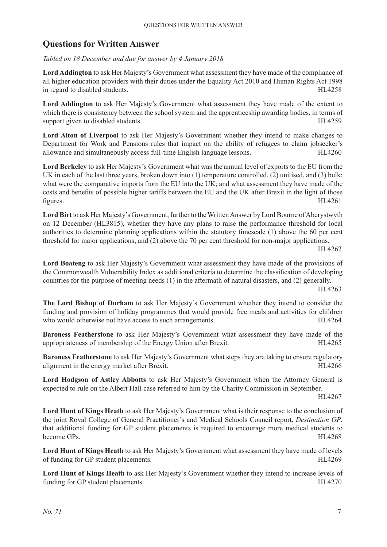# **Questions for Written Answer**

*Tabled on 18 December and due for answer by 4 January 2018.*

**Lord Addington** to ask Her Majesty's Government what assessment they have made of the compliance of all higher education providers with their duties under the Equality Act 2010 and Human Rights Act 1998 in regard to disabled students. HL4258

**Lord Addington** to ask Her Majesty's Government what assessment they have made of the extent to which there is consistency between the school system and the apprenticeship awarding bodies, in terms of support given to disabled students. HL4259

**Lord Alton of Liverpool** to ask Her Majesty's Government whether they intend to make changes to Department for Work and Pensions rules that impact on the ability of refugees to claim jobseeker's allowance and simultaneously access full-time English language lessons. HL4260

**Lord Berkeley** to ask Her Majesty's Government what was the annual level of exports to the EU from the UK in each of the last three years, broken down into (1) temperature controlled, (2) unitised, and (3) bulk; what were the comparative imports from the EU into the UK; and what assessment they have made of the costs and benefits of possible higher tariffs between the EU and the UK after Brexit in the light of those figures. HL4261

**Lord Birt** to ask Her Majesty's Government, further to the Written Answer by Lord Bourne of Aberystwyth on 12 December (HL3815), whether they have any plans to raise the performance threshold for local authorities to determine planning applications within the statutory timescale (1) above the 60 per cent threshold for major applications, and (2) above the 70 per cent threshold for non-major applications.

HL4262

**Lord Boateng** to ask Her Majesty's Government what assessment they have made of the provisions of the Commonwealth Vulnerability Index as additional criteria to determine the classification of developing countries for the purpose of meeting needs (1) in the aftermath of natural disasters, and (2) generally.

HL4263

**The Lord Bishop of Durham** to ask Her Majesty's Government whether they intend to consider the funding and provision of holiday programmes that would provide free meals and activities for children who would otherwise not have access to such arrangements. HL4264

**Baroness Featherstone** to ask Her Majesty's Government what assessment they have made of the appropriateness of membership of the Energy Union after Brexit. HL4265

**Baroness Featherstone** to ask Her Majesty's Government what steps they are taking to ensure regulatory alignment in the energy market after Brexit. HL4266

**Lord Hodgson of Astley Abbotts** to ask Her Majesty's Government when the Attorney General is expected to rule on the Albert Hall case referred to him by the Charity Commission in September.

HL4267

**Lord Hunt of Kings Heath** to ask Her Majesty's Government what is their response to the conclusion of the joint Royal College of General Practitioner's and Medical Schools Council report, *Destination GP*, that additional funding for GP student placements is required to encourage more medical students to become GPs. HL4268

**Lord Hunt of Kings Heath** to ask Her Majesty's Government what assessment they have made of levels of funding for GP student placements. HL4269

**Lord Hunt of Kings Heath** to ask Her Majesty's Government whether they intend to increase levels of funding for GP student placements. HL4270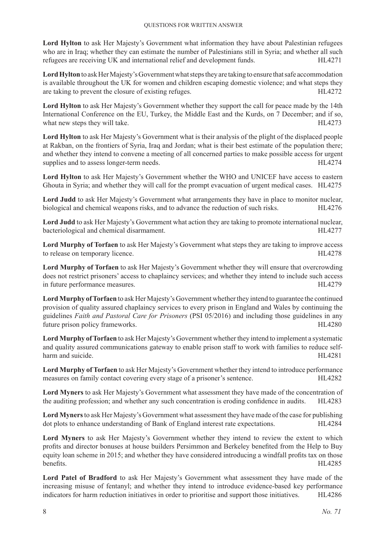**Lord Hylton** to ask Her Majesty's Government what information they have about Palestinian refugees who are in Iraq; whether they can estimate the number of Palestinians still in Syria; and whether all such refugees are receiving UK and international relief and development funds. HL4271

Lord Hylton to ask Her Majesty's Government what steps they are taking to ensure that safe accommodation is available throughout the UK for women and children escaping domestic violence; and what steps they are taking to prevent the closure of existing refuges. HL4272

**Lord Hylton** to ask Her Majesty's Government whether they support the call for peace made by the 14th International Conference on the EU, Turkey, the Middle East and the Kurds, on 7 December; and if so, what new steps they will take. HL4273

**Lord Hylton** to ask Her Majesty's Government what is their analysis of the plight of the displaced people at Rakban, on the frontiers of Syria, Iraq and Jordan; what is their best estimate of the population there; and whether they intend to convene a meeting of all concerned parties to make possible access for urgent supplies and to assess longer-term needs. HL4274

**Lord Hylton** to ask Her Majesty's Government whether the WHO and UNICEF have access to eastern Ghouta in Syria; and whether they will call for the prompt evacuation of urgent medical cases. HL4275

Lord Judd to ask Her Majesty's Government what arrangements they have in place to monitor nuclear, biological and chemical weapons risks, and to advance the reduction of such risks. HL4276

**Lord Judd** to ask Her Majesty's Government what action they are taking to promote international nuclear, bacteriological and chemical disarmament. HL4277

**Lord Murphy of Torfaen** to ask Her Majesty's Government what steps they are taking to improve access to release on temporary licence. HL4278

**Lord Murphy of Torfaen** to ask Her Majesty's Government whether they will ensure that overcrowding does not restrict prisoners' access to chaplaincy services; and whether they intend to include such access in future performance measures. HL4279

**Lord Murphy of Torfaen** to ask Her Majesty's Government whether they intend to guarantee the continued provision of quality assured chaplaincy services to every prison in England and Wales by continuing the guidelines *Faith and Pastoral Care for Prisoners* (PSI 05/2016) and including those guidelines in any future prison policy frameworks. HL4280

**Lord Murphy of Torfaen** to ask Her Majesty's Government whether they intend to implement a systematic and quality assured communications gateway to enable prison staff to work with families to reduce selfharm and suicide. HL4281

**Lord Murphy of Torfaen** to ask Her Majesty's Government whether they intend to introduce performance measures on family contact covering every stage of a prisoner's sentence. HL4282

**Lord Myners** to ask Her Majesty's Government what assessment they have made of the concentration of the auditing profession; and whether any such concentration is eroding confidence in audits. HL4283

**Lord Myners** to ask Her Majesty's Government what assessment they have made of the case for publishing dot plots to enhance understanding of Bank of England interest rate expectations. HL4284

**Lord Myners** to ask Her Majesty's Government whether they intend to review the extent to which profits and director bonuses at house builders Persimmon and Berkeley benefited from the Help to Buy equity loan scheme in 2015; and whether they have considered introducing a windfall profits tax on those benefits. HL4285

**Lord Patel of Bradford** to ask Her Majesty's Government what assessment they have made of the increasing misuse of fentanyl; and whether they intend to introduce evidence-based key performance indicators for harm reduction initiatives in order to prioritise and support those initiatives. HL4286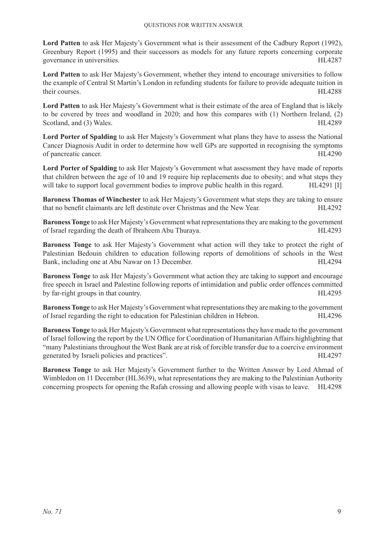**Lord Patten** to ask Her Majesty's Government what is their assessment of the Cadbury Report (1992), Greenbury Report (1995) and their successors as models for any future reports concerning corporate governance in universities. HL4287

**Lord Patten** to ask Her Majesty's Government, whether they intend to encourage universities to follow the example of Central St Martin's London in refunding students for failure to provide adequate tuition in their courses. HL4288

**Lord Patten** to ask Her Majesty's Government what is their estimate of the area of England that is likely to be covered by trees and woodland in 2020; and how this compares with (1) Northern Ireland, (2) Scotland, and (3) Wales. HL4289

**Lord Porter of Spalding** to ask Her Majesty's Government what plans they have to assess the National Cancer Diagnosis Audit in order to determine how well GPs are supported in recognising the symptoms of pancreatic cancer. HL4290

**Lord Porter of Spalding** to ask Her Majesty's Government what assessment they have made of reports that children between the age of 10 and 19 require hip replacements due to obesity; and what steps they will take to support local government bodies to improve public health in this regard. HL4291 [I]

**Baroness Thomas of Winchester** to ask Her Majesty's Government what steps they are taking to ensure that no benefit claimants are left destitute over Christmas and the New Year. HL4292

**Baroness Tonge** to ask Her Majesty's Government what representations they are making to the government of Israel regarding the death of Ibraheem Abu Thuraya. HL4293

**Baroness Tonge** to ask Her Majesty's Government what action will they take to protect the right of Palestinian Bedouin children to education following reports of demolitions of schools in the West Bank, including one at Abu Nawar on 13 December. HL4294

**Baroness Tonge** to ask Her Majesty's Government what action they are taking to support and encourage free speech in Israel and Palestine following reports of intimidation and public order offences committed by far-right groups in that country. The same state of the state of the state of the state of the state of the state of the state of the state of the state of the state of the state of the state of the state of the state o

**Baroness Tonge** to ask Her Majesty's Government what representations they are making to the government of Israel regarding the right to education for Palestinian children in Hebron. HL4296

**Baroness Tonge** to ask Her Majesty's Government what representations they have made to the government of Israel following the report by the UN Office for Coordination of Humanitarian Affairs highlighting that "many Palestinians throughout the West Bank are at risk of forcible transfer due to a coercive environment generated by Israeli policies and practices". HL4297

**Baroness Tonge** to ask Her Majesty's Government further to the Written Answer by Lord Ahmad of Wimbledon on 11 December (HL3639), what representations they are making to the Palestinian Authority concerning prospects for opening the Rafah crossing and allowing people with visas to leave. HL4298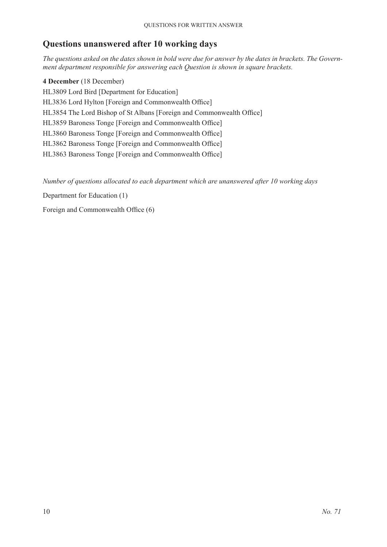# **Questions unanswered after 10 working days**

*The questions asked on the dates shown in bold were due for answer by the dates in brackets. The Government department responsible for answering each Question is shown in square brackets.*

**4 December** (18 December) HL3809 Lord Bird [Department for Education] HL3836 Lord Hylton [Foreign and Commonwealth Office] HL3854 The Lord Bishop of St Albans [Foreign and Commonwealth Office] HL3859 Baroness Tonge [Foreign and Commonwealth Office] HL3860 Baroness Tonge [Foreign and Commonwealth Office] HL3862 Baroness Tonge [Foreign and Commonwealth Office] HL3863 Baroness Tonge [Foreign and Commonwealth Office]

*Number of questions allocated to each department which are unanswered after 10 working days*

Department for Education (1)

Foreign and Commonwealth Office (6)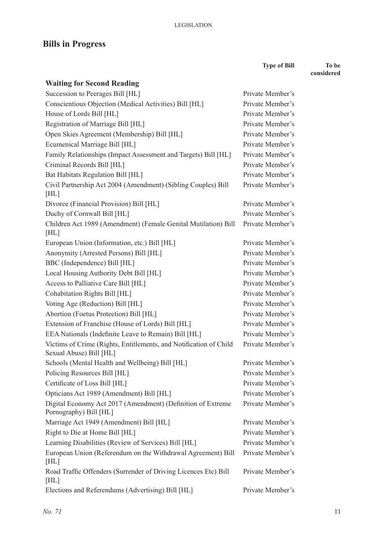# **Bills in Progress**

**Type of Bill To be** 

**considered**

| <b>Waiting for Second Reading</b>                                                            |                  |
|----------------------------------------------------------------------------------------------|------------------|
| Succession to Peerages Bill [HL]                                                             | Private Member's |
| Conscientious Objection (Medical Activities) Bill [HL]                                       | Private Member's |
| House of Lords Bill [HL]                                                                     | Private Member's |
| Registration of Marriage Bill [HL]                                                           | Private Member's |
| Open Skies Agreement (Membership) Bill [HL]                                                  | Private Member's |
| Ecumenical Marriage Bill [HL]                                                                | Private Member's |
| Family Relationships (Impact Assessment and Targets) Bill [HL]                               | Private Member's |
| Criminal Records Bill [HL]                                                                   | Private Member's |
| Bat Habitats Regulation Bill [HL]                                                            | Private Member's |
| Civil Partnership Act 2004 (Amendment) (Sibling Couples) Bill<br>[HL]                        | Private Member's |
| Divorce (Financial Provision) Bill [HL]                                                      | Private Member's |
| Duchy of Cornwall Bill [HL]                                                                  | Private Member's |
| Children Act 1989 (Amendment) (Female Genital Mutilation) Bill<br>[HL]                       | Private Member's |
| European Union (Information, etc.) Bill [HL]                                                 | Private Member's |
| Anonymity (Arrested Persons) Bill [HL]                                                       | Private Member's |
| BBC (Independence) Bill [HL]                                                                 | Private Member's |
| Local Housing Authority Debt Bill [HL]                                                       | Private Member's |
| Access to Palliative Care Bill [HL]                                                          | Private Member's |
| Cohabitation Rights Bill [HL]                                                                | Private Member's |
| Voting Age (Reduction) Bill [HL]                                                             | Private Member's |
| Abortion (Foetus Protection) Bill [HL]                                                       | Private Member's |
| Extension of Franchise (House of Lords) Bill [HL]                                            | Private Member's |
| EEA Nationals (Indefinite Leave to Remain) Bill [HL]                                         | Private Member's |
| Victims of Crime (Rights, Entitlements, and Notification of Child<br>Sexual Abuse) Bill [HL] | Private Member's |
| Schools (Mental Health and Wellbeing) Bill [HL]                                              | Private Member's |
| Policing Resources Bill [HL]                                                                 | Private Member's |
| Certificate of Loss Bill [HL]                                                                | Private Member's |
| Opticians Act 1989 (Amendment) Bill [HL]                                                     | Private Member's |
| Digital Economy Act 2017 (Amendment) (Definition of Extreme<br>Pornography) Bill [HL]        | Private Member's |
| Marriage Act 1949 (Amendment) Bill [HL]                                                      | Private Member's |
| Right to Die at Home Bill [HL]                                                               | Private Member's |
| Learning Disabilities (Review of Services) Bill [HL]                                         | Private Member's |
| European Union (Referendum on the Withdrawal Agreement) Bill<br>[HL]                         | Private Member's |
| Road Traffic Offenders (Surrender of Driving Licences Etc) Bill<br>[HL]                      | Private Member's |
| Elections and Referendums (Advertising) Bill [HL]                                            | Private Member's |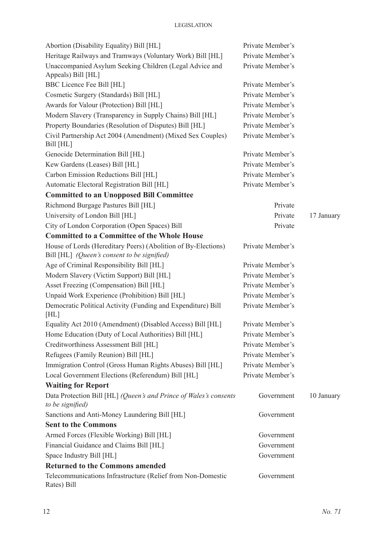| Abortion (Disability Equality) Bill [HL]                                                                     | Private Member's |            |
|--------------------------------------------------------------------------------------------------------------|------------------|------------|
| Heritage Railways and Tramways (Voluntary Work) Bill [HL]                                                    | Private Member's |            |
| Unaccompanied Asylum Seeking Children (Legal Advice and<br>Appeals) Bill [HL]                                | Private Member's |            |
| <b>BBC Licence Fee Bill [HL]</b>                                                                             | Private Member's |            |
| Cosmetic Surgery (Standards) Bill [HL]                                                                       | Private Member's |            |
| Awards for Valour (Protection) Bill [HL]                                                                     | Private Member's |            |
| Modern Slavery (Transparency in Supply Chains) Bill [HL]                                                     | Private Member's |            |
| Property Boundaries (Resolution of Disputes) Bill [HL]                                                       | Private Member's |            |
| Civil Partnership Act 2004 (Amendment) (Mixed Sex Couples)<br>Bill [HL]                                      | Private Member's |            |
| Genocide Determination Bill [HL]                                                                             | Private Member's |            |
| Kew Gardens (Leases) Bill [HL]                                                                               | Private Member's |            |
| Carbon Emission Reductions Bill [HL]                                                                         | Private Member's |            |
| Automatic Electoral Registration Bill [HL]                                                                   | Private Member's |            |
| <b>Committed to an Unopposed Bill Committee</b>                                                              |                  |            |
| Richmond Burgage Pastures Bill [HL]                                                                          | Private          |            |
| University of London Bill [HL]                                                                               | Private          | 17 January |
| City of London Corporation (Open Spaces) Bill                                                                | Private          |            |
| <b>Committed to a Committee of the Whole House</b>                                                           |                  |            |
| House of Lords (Hereditary Peers) (Abolition of By-Elections)<br>Bill [HL] (Queen's consent to be signified) | Private Member's |            |
| Age of Criminal Responsibility Bill [HL]                                                                     | Private Member's |            |
| Modern Slavery (Victim Support) Bill [HL]                                                                    | Private Member's |            |
| Asset Freezing (Compensation) Bill [HL]                                                                      | Private Member's |            |
| Unpaid Work Experience (Prohibition) Bill [HL]                                                               | Private Member's |            |
| Democratic Political Activity (Funding and Expenditure) Bill<br>[HL]                                         | Private Member's |            |
| Equality Act 2010 (Amendment) (Disabled Access) Bill [HL]                                                    | Private Member's |            |
| Home Education (Duty of Local Authorities) Bill [HL]                                                         | Private Member's |            |
| Creditworthiness Assessment Bill [HL]                                                                        | Private Member's |            |
| Refugees (Family Reunion) Bill [HL]                                                                          | Private Member's |            |
| Immigration Control (Gross Human Rights Abuses) Bill [HL]                                                    | Private Member's |            |
| Local Government Elections (Referendum) Bill [HL]                                                            | Private Member's |            |
| <b>Waiting for Report</b>                                                                                    |                  |            |
| Data Protection Bill [HL] (Queen's and Prince of Wales's consents<br>to be signified)                        | Government       | 10 January |
| Sanctions and Anti-Money Laundering Bill [HL]                                                                | Government       |            |
| <b>Sent to the Commons</b>                                                                                   |                  |            |
| Armed Forces (Flexible Working) Bill [HL]                                                                    | Government       |            |
| Financial Guidance and Claims Bill [HL]                                                                      | Government       |            |
| Space Industry Bill [HL]                                                                                     | Government       |            |
| <b>Returned to the Commons amended</b>                                                                       |                  |            |
| Telecommunications Infrastructure (Relief from Non-Domestic<br>Rates) Bill                                   | Government       |            |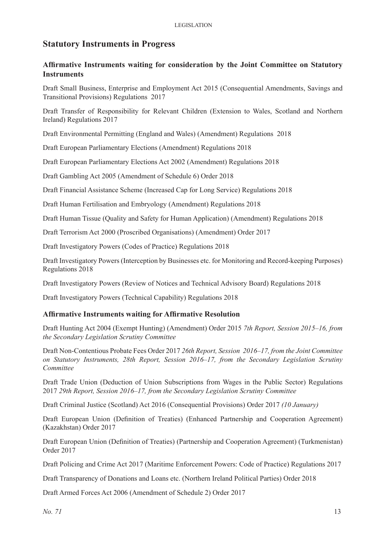# **Statutory Instruments in Progress**

#### **Affirmative Instruments waiting for consideration by the Joint Committee on Statutory Instruments**

Draft Small Business, Enterprise and Employment Act 2015 (Consequential Amendments, Savings and Transitional Provisions) Regulations 2017

Draft Transfer of Responsibility for Relevant Children (Extension to Wales, Scotland and Northern Ireland) Regulations 2017

Draft Environmental Permitting (England and Wales) (Amendment) Regulations 2018

Draft European Parliamentary Elections (Amendment) Regulations 2018

Draft European Parliamentary Elections Act 2002 (Amendment) Regulations 2018

Draft Gambling Act 2005 (Amendment of Schedule 6) Order 2018

Draft Financial Assistance Scheme (Increased Cap for Long Service) Regulations 2018

Draft Human Fertilisation and Embryology (Amendment) Regulations 2018

Draft Human Tissue (Quality and Safety for Human Application) (Amendment) Regulations 2018

Draft Terrorism Act 2000 (Proscribed Organisations) (Amendment) Order 2017

Draft Investigatory Powers (Codes of Practice) Regulations 2018

Draft Investigatory Powers (Interception by Businesses etc. for Monitoring and Record-keeping Purposes) Regulations 2018

Draft Investigatory Powers (Review of Notices and Technical Advisory Board) Regulations 2018

Draft Investigatory Powers (Technical Capability) Regulations 2018

#### **Affirmative Instruments waiting for Affirmative Resolution**

Draft Hunting Act 2004 (Exempt Hunting) (Amendment) Order 2015 *7th Report, Session 2015–16, from the Secondary Legislation Scrutiny Committee*

Draft Non-Contentious Probate Fees Order 2017 *26th Report, Session 2016–17, from the Joint Committee on Statutory Instruments, 28th Report, Session 2016–17, from the Secondary Legislation Scrutiny Committee*

Draft Trade Union (Deduction of Union Subscriptions from Wages in the Public Sector) Regulations 2017 *29th Report, Session 2016–17, from the Secondary Legislation Scrutiny Committee*

Draft Criminal Justice (Scotland) Act 2016 (Consequential Provisions) Order 2017 *(10 January)*

Draft European Union (Definition of Treaties) (Enhanced Partnership and Cooperation Agreement) (Kazakhstan) Order 2017

Draft European Union (Definition of Treaties) (Partnership and Cooperation Agreement) (Turkmenistan) Order 2017

Draft Policing and Crime Act 2017 (Maritime Enforcement Powers: Code of Practice) Regulations 2017

Draft Transparency of Donations and Loans etc. (Northern Ireland Political Parties) Order 2018

Draft Armed Forces Act 2006 (Amendment of Schedule 2) Order 2017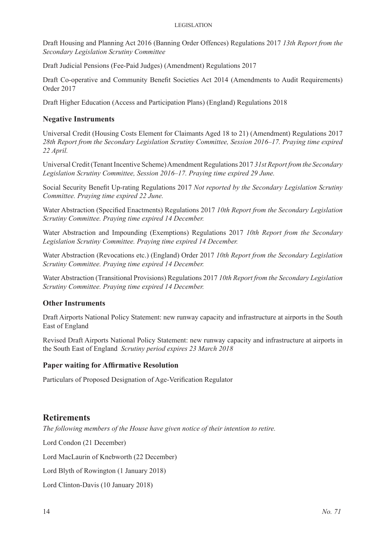#### **LEGISLATION**

Draft Housing and Planning Act 2016 (Banning Order Offences) Regulations 2017 *13th Report from the Secondary Legislation Scrutiny Committee*

Draft Judicial Pensions (Fee-Paid Judges) (Amendment) Regulations 2017

Draft Co-operative and Community Benefit Societies Act 2014 (Amendments to Audit Requirements) Order 2017

Draft Higher Education (Access and Participation Plans) (England) Regulations 2018

#### **Negative Instruments**

Universal Credit (Housing Costs Element for Claimants Aged 18 to 21) (Amendment) Regulations 2017 *28th Report from the Secondary Legislation Scrutiny Committee, Session 2016–17. Praying time expired 22 April.* 

Universal Credit (Tenant Incentive Scheme) Amendment Regulations 2017 *31st Report from the Secondary Legislation Scrutiny Committee, Session 2016–17. Praying time expired 29 June.* 

Social Security Benefit Up-rating Regulations 2017 *Not reported by the Secondary Legislation Scrutiny Committee. Praying time expired 22 June.*

Water Abstraction (Specified Enactments) Regulations 2017 *10th Report from the Secondary Legislation Scrutiny Committee. Praying time expired 14 December.* 

Water Abstraction and Impounding (Exemptions) Regulations 2017 *10th Report from the Secondary Legislation Scrutiny Committee. Praying time expired 14 December.* 

Water Abstraction (Revocations etc.) (England) Order 2017 *10th Report from the Secondary Legislation Scrutiny Committee. Praying time expired 14 December.* 

Water Abstraction (Transitional Provisions) Regulations 2017 *10th Report from the Secondary Legislation Scrutiny Committee. Praying time expired 14 December.* 

#### **Other Instruments**

Draft Airports National Policy Statement: new runway capacity and infrastructure at airports in the South East of England

Revised Draft Airports National Policy Statement: new runway capacity and infrastructure at airports in the South East of England *Scrutiny period expires 23 March 2018*

#### **Paper waiting for Affirmative Resolution**

Particulars of Proposed Designation of Age-Verification Regulator

#### **Retirements**

*The following members of the House have given notice of their intention to retire.*

Lord Condon (21 December)

Lord MacLaurin of Knebworth (22 December)

Lord Blyth of Rowington (1 January 2018)

Lord Clinton-Davis (10 January 2018)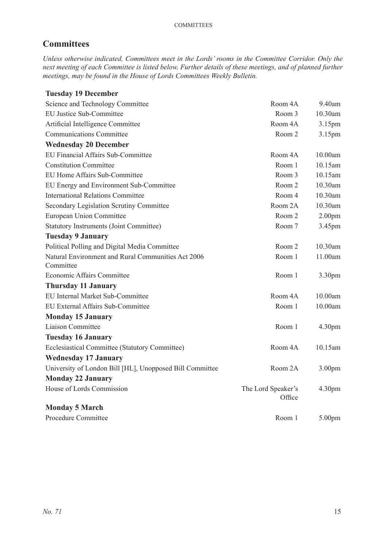# **Committees**

*Unless otherwise indicated, Committees meet in the Lords' rooms in the Committee Corridor. Only the next meeting of each Committee is listed below. Further details of these meetings, and of planned further meetings, may be found in the House of Lords Committees Weekly Bulletin.*

| <b>Tuesday 19 December</b>                                      |                              |                    |
|-----------------------------------------------------------------|------------------------------|--------------------|
| Science and Technology Committee                                | Room 4A                      | 9.40am             |
| <b>EU Justice Sub-Committee</b>                                 | Room 3                       | 10.30am            |
| Artificial Intelligence Committee                               | Room 4A                      | 3.15pm             |
| <b>Communications Committee</b>                                 | Room 2                       | 3.15pm             |
| <b>Wednesday 20 December</b>                                    |                              |                    |
| EU Financial Affairs Sub-Committee                              | Room 4A                      | 10.00am            |
| <b>Constitution Committee</b>                                   | Room 1                       | 10.15am            |
| EU Home Affairs Sub-Committee                                   | Room 3                       | 10.15am            |
| EU Energy and Environment Sub-Committee                         | Room 2                       | 10.30am            |
| <b>International Relations Committee</b>                        | Room 4                       | 10.30am            |
| Secondary Legislation Scrutiny Committee                        | Room 2A                      | 10.30am            |
| European Union Committee                                        | Room 2                       | 2.00 <sub>pm</sub> |
| <b>Statutory Instruments (Joint Committee)</b>                  | Room 7                       | 3.45pm             |
| <b>Tuesday 9 January</b>                                        |                              |                    |
| Political Polling and Digital Media Committee                   | Room 2                       | 10.30am            |
| Natural Environment and Rural Communities Act 2006<br>Committee | Room 1                       | 11.00am            |
| <b>Economic Affairs Committee</b>                               | Room 1                       | 3.30pm             |
| <b>Thursday 11 January</b>                                      |                              |                    |
| EU Internal Market Sub-Committee                                | Room 4A                      | 10.00am            |
| EU External Affairs Sub-Committee                               | Room 1                       | 10.00am            |
| <b>Monday 15 January</b>                                        |                              |                    |
| <b>Liaison Committee</b>                                        | Room 1                       | 4.30pm             |
| <b>Tuesday 16 January</b>                                       |                              |                    |
| Ecclesiastical Committee (Statutory Committee)                  | Room 4A                      | 10.15am            |
| <b>Wednesday 17 January</b>                                     |                              |                    |
| University of London Bill [HL], Unopposed Bill Committee        | Room 2A                      | 3.00pm             |
| <b>Monday 22 January</b>                                        |                              |                    |
| House of Lords Commission                                       | The Lord Speaker's<br>Office | 4.30pm             |
| <b>Monday 5 March</b>                                           |                              |                    |
| Procedure Committee                                             | Room 1                       | 5.00 <sub>pm</sub> |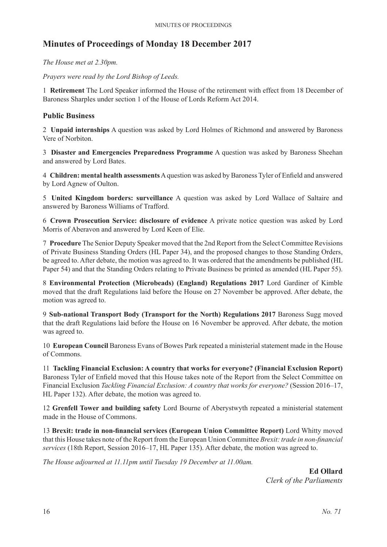# **Minutes of Proceedings of Monday 18 December 2017**

*The House met at 2.30pm.*

*Prayers were read by the Lord Bishop of Leeds.*

1 **Retirement** The Lord Speaker informed the House of the retirement with effect from 18 December of Baroness Sharples under section 1 of the House of Lords Reform Act 2014.

#### **Public Business**

2 **Unpaid internships** A question was asked by Lord Holmes of Richmond and answered by Baroness Vere of Norbiton.

3 **Disaster and Emergencies Preparedness Programme** A question was asked by Baroness Sheehan and answered by Lord Bates.

4 **Children: mental health assessments**A question was asked by Baroness Tyler of Enfield and answered by Lord Agnew of Oulton.

5 **United Kingdom borders: surveillance** A question was asked by Lord Wallace of Saltaire and answered by Baroness Williams of Trafford.

6 **Crown Prosecution Service: disclosure of evidence** A private notice question was asked by Lord Morris of Aberavon and answered by Lord Keen of Elie.

7 **Procedure** The Senior Deputy Speaker moved that the 2nd Report from the Select Committee Revisions of Private Business Standing Orders (HL Paper 34), and the proposed changes to those Standing Orders, be agreed to. After debate, the motion was agreed to. It was ordered that the amendments be published (HL Paper 54) and that the Standing Orders relating to Private Business be printed as amended (HL Paper 55).

8 **Environmental Protection (Microbeads) (England) Regulations 2017** Lord Gardiner of Kimble moved that the draft Regulations laid before the House on 27 November be approved. After debate, the motion was agreed to.

9 **Sub-national Transport Body (Transport for the North) Regulations 2017** Baroness Sugg moved that the draft Regulations laid before the House on 16 November be approved. After debate, the motion was agreed to.

10 **European Council** Baroness Evans of Bowes Park repeated a ministerial statement made in the House of Commons.

11 **Tackling Financial Exclusion: A country that works for everyone? (Financial Exclusion Report)** Baroness Tyler of Enfield moved that this House takes note of the Report from the Select Committee on Financial Exclusion *Tackling Financial Exclusion: A country that works for everyone?* (Session 2016–17, HL Paper 132). After debate, the motion was agreed to.

12 **Grenfell Tower and building safety** Lord Bourne of Aberystwyth repeated a ministerial statement made in the House of Commons.

13 **Brexit: trade in non-financial services (European Union Committee Report)** Lord Whitty moved that this House takes note of the Report from the European Union Committee *Brexit: trade in non-financial services* (18th Report, Session 2016–17, HL Paper 135). After debate, the motion was agreed to.

*The House adjourned at 11.11pm until Tuesday 19 December at 11.00am.*

**Ed Ollard** *Clerk of the Parliaments*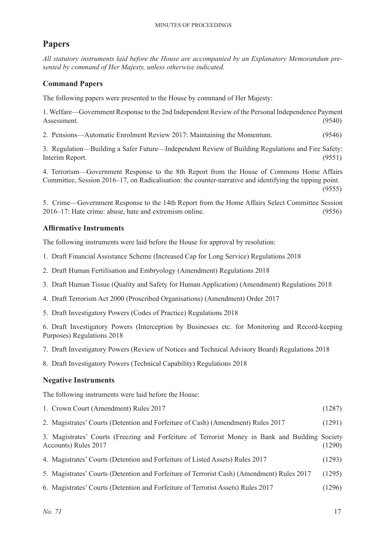# **Papers**

*All statutory instruments laid before the House are accompanied by an Explanatory Memorandum presented by command of Her Majesty, unless otherwise indicated.*

### **Command Papers**

The following papers were presented to the House by command of Her Majesty:

1. Welfare—Government Response to the 2nd Independent Review of the Personal Independence Payment Assessment. (9540)

2. Pensions—Automatic Enrolment Review 2017: Maintaining the Momentum. (9546)

3. Regulation—Building a Safer Future—Independent Review of Building Regulations and Fire Safety: Interim Report. (9551)

4. Terrorism—Government Response to the 8th Report from the House of Commons Home Affairs Committee, Session 2016–17, on Radicalisation: the counter-narrative and identifying the tipping point. (9555)

5. Crime—Government Response to the 14th Report from the Home Affairs Select Committee Session 2016–17: Hate crime: abuse, hate and extremism online. (9556)

### **Affirmative Instruments**

The following instruments were laid before the House for approval by resolution:

- 1. Draft Financial Assistance Scheme (Increased Cap for Long Service) Regulations 2018
- 2. Draft Human Fertilisation and Embryology (Amendment) Regulations 2018
- 3. Draft Human Tissue (Quality and Safety for Human Application) (Amendment) Regulations 2018
- 4. Draft Terrorism Act 2000 (Proscribed Organisations) (Amendment) Order 2017
- 5. Draft Investigatory Powers (Codes of Practice) Regulations 2018

6. Draft Investigatory Powers (Interception by Businesses etc. for Monitoring and Record-keeping Purposes) Regulations 2018

- 7. Draft Investigatory Powers (Review of Notices and Technical Advisory Board) Regulations 2018
- 8. Draft Investigatory Powers (Technical Capability) Regulations 2018

#### **Negative Instruments**

The following instruments were laid before the House:

|  | 1. Crown Court (Amendment) Rules 2017 |  |  |  |  | (1287) |
|--|---------------------------------------|--|--|--|--|--------|
|  |                                       |  |  |  |  |        |

2. Magistrates' Courts (Detention and Forfeiture of Cash) (Amendment) Rules 2017 (1291)

3.  Magistrates' Courts (Freezing and Forfeiture of Terrorist Money in Bank and Building Society Accounts) Rules 2017 (1290)

- 4. Magistrates' Courts (Detention and Forfeiture of Listed Assets) Rules 2017 (1293)
- 5. Magistrates' Courts (Detention and Forfeiture of Terrorist Cash) (Amendment) Rules 2017 (1295)
- 6. Magistrates' Courts (Detention and Forfeiture of Terrorist Assets) Rules 2017 (1296)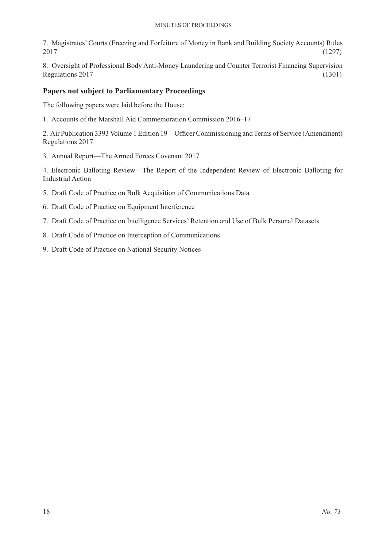#### Minutes of Proceedings

7. Magistrates' Courts (Freezing and Forfeiture of Money in Bank and Building Society Accounts) Rules 2017 (1297)

8. Oversight of Professional Body Anti-Money Laundering and Counter Terrorist Financing Supervision Regulations 2017 (1301)

#### **Papers not subject to Parliamentary Proceedings**

The following papers were laid before the House:

1. Accounts of the Marshall Aid Commemoration Commission 2016–17

2. Air Publication 3393 Volume 1 Edition 19—Officer Commissioning and Terms of Service (Amendment) Regulations 2017

3. Annual Report—The Armed Forces Covenant 2017

4. Electronic Balloting Review—The Report of the Independent Review of Electronic Balloting for Industrial Action

- 5. Draft Code of Practice on Bulk Acquisition of Communications Data
- 6. Draft Code of Practice on Equipment Interference
- 7. Draft Code of Practice on Intelligence Services' Retention and Use of Bulk Personal Datasets
- 8. Draft Code of Practice on Interception of Communications
- 9. Draft Code of Practice on National Security Notices